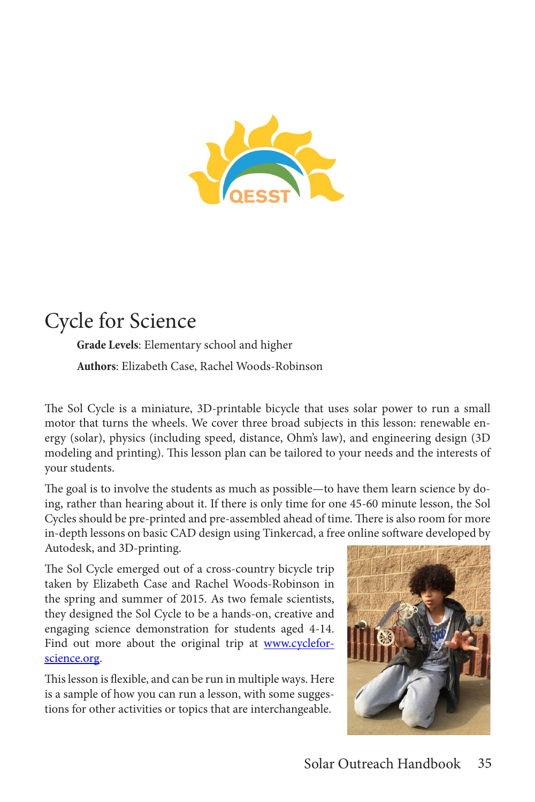

# Cycle for Science

**Grade Levels**: Elementary school and higher **Authors**: Elizabeth Case, Rachel Woods-Robinson

The Sol Cycle is a miniature, 3D-printable bicycle that uses solar power to run a small motor that turns the wheels. We cover three broad subjects in this lesson: renewable energy (solar), physics (including speed, distance, Ohm's law), and engineering design (3D modeling and printing). This lesson plan can be tailored to your needs and the interests of your students.

The goal is to involve the students as much as possible—to have them learn science by doing, rather than hearing about it. If there is only time for one 45-60 minute lesson, the Sol Cycles should be pre-printed and pre-assembled ahead of time. There is also room for more in-depth lessons on basic CAD design using Tinkercad, a free online software developed by Autodesk, and 3D-printing.

The Sol Cycle emerged out of a cross-country bicycle trip taken by Elizabeth Case and Rachel Woods-Robinson in the spring and summer of 2015. As two female scientists, they designed the Sol Cycle to be a hands-on, creative and engaging science demonstration for students aged 4-14. Find out more about the original trip at www.cycleforscience.org.

This lesson is flexible, and can be run in multiple ways. Here is a sample of how you can run a lesson, with some suggestions for other activities or topics that are interchangeable.

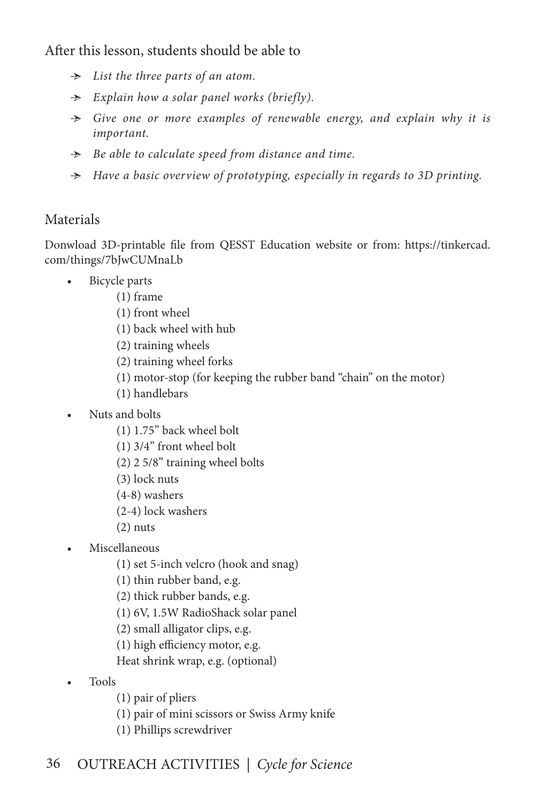After this lesson, students should be able to

- $\rightarrow$  List the three parts of an atom.
- Ӻ *Explain how a solar panel works (briefly).*
- Ӻ *Give one or more examples of renewable energy, and explain why it is important.*
- Ӻ *Be able to calculate speed from distance and time.*
- Ӻ *Have a basic overview of prototyping, especially in regards to 3D printing.*

# Materials

Donwload 3D-printable file from QESST Education website or from: https://tinkercad. com/things/7bJwCUMnaLb

- Bicycle parts
	- (1) frame
	- (1) front wheel
	- (1) back wheel with hub
	- (2) training wheels
	- (2) training wheel forks
	- (1) motor-stop (for keeping the rubber band "chain" on the motor)
	- (1) handlebars
- Nuts and bolts
	- (1) 1.75" back wheel bolt
	- (1) 3/4" front wheel bolt
	- (2) 2 5/8" training wheel bolts
	- (3) lock nuts
	- (4-8) washers
	- (2-4) lock washers
	- $(2)$  nuts
- Miscellaneous
	- (1) set 5-inch velcro (hook and snag)
	- (1) thin rubber band, e.g.
	- (2) thick rubber bands, e.g.
	- (1) 6V, 1.5W RadioShack solar panel
	- (2) small alligator clips, e.g.
	- (1) high efficiency motor, e.g.
	- Heat shrink wrap, e.g. (optional)
- Tools
	- (1) pair of pliers
	- (1) pair of mini scissors or Swiss Army knife
	- (1) Phillips screwdriver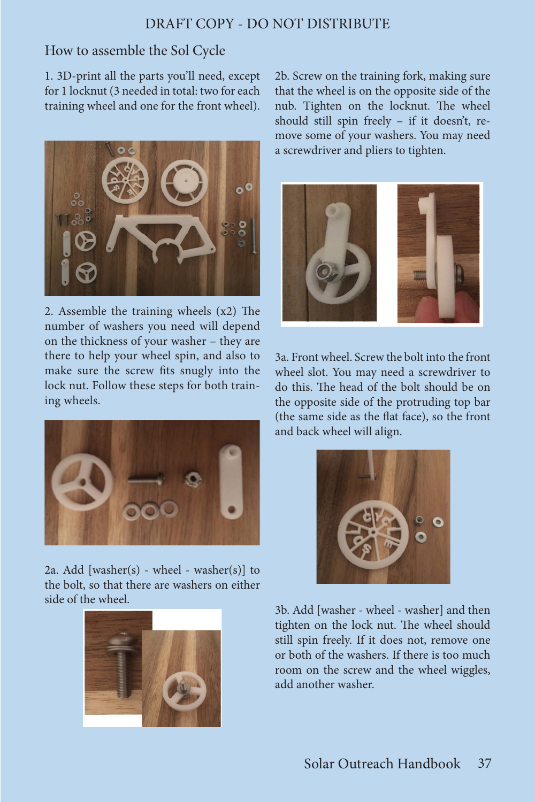#### DRAFT COPY - DO NOT DISTRIBUTE

#### How to assemble the Sol Cycle

1. 3D-print all the parts you'll need, except for 1 locknut (3 needed in total: two for each training wheel and one for the front wheel).



2. Assemble the training wheels (x2) The number of washers you need will depend on the thickness of your washer – they are there to help your wheel spin, and also to make sure the screw fits snugly into the lock nut. Follow these steps for both training wheels.



2a. Add [washer(s) - wheel - washer(s)] to the bolt, so that there are washers on either side of the wheel.



2b. Screw on the training fork, making sure that the wheel is on the opposite side of the nub. Tighten on the locknut. The wheel should still spin freely – if it doesn't, remove some of your washers. You may need a screwdriver and pliers to tighten.



3a. Front wheel. Screw the bolt into the front wheel slot. You may need a screwdriver to do this. The head of the bolt should be on the opposite side of the protruding top bar (the same side as the flat face), so the front and back wheel will align.



3b. Add [washer - wheel - washer] and then tighten on the lock nut. The wheel should still spin freely. If it does not, remove one or both of the washers. If there is too much room on the screw and the wheel wiggles, add another washer.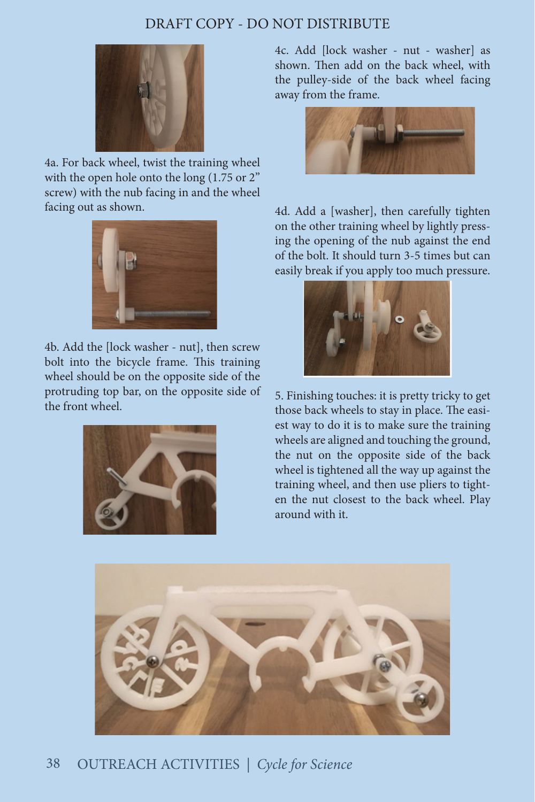### DRAFT COPY - DO NOT DISTRIBUTE



4a. For back wheel, twist the training wheel with the open hole onto the long (1.75 or 2" screw) with the nub facing in and the wheel facing out as shown.



4b. Add the [lock washer - nut], then screw bolt into the bicycle frame. This training wheel should be on the opposite side of the protruding top bar, on the opposite side of the front wheel.



4c. Add [lock washer - nut - washer] as shown. Then add on the back wheel, with the pulley-side of the back wheel facing away from the frame.



4d. Add a [washer], then carefully tighten on the other training wheel by lightly pressing the opening of the nub against the end of the bolt. It should turn 3-5 times but can easily break if you apply too much pressure.



5. Finishing touches: it is pretty tricky to get those back wheels to stay in place. The easiest way to do it is to make sure the training wheels are aligned and touching the ground, the nut on the opposite side of the back wheel is tightened all the way up against the training wheel, and then use pliers to tighten the nut closest to the back wheel. Play around with it.



## 38 OUTREACH ACTIVITIES *| Cycle for Science*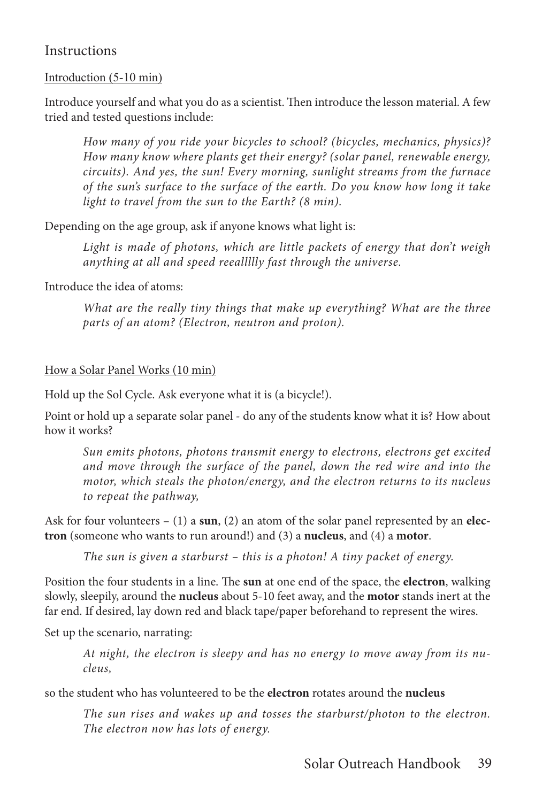#### **Instructions**

#### Introduction (5-10 min)

Introduce yourself and what you do as a scientist. Then introduce the lesson material. A few tried and tested questions include:

*How many of you ride your bicycles to school? (bicycles, mechanics, physics)? How many know where plants get their energy? (solar panel, renewable energy, circuits). And yes, the sun! Every morning, sunlight streams from the furnace of the sun's surface to the surface of the earth. Do you know how long it take light to travel from the sun to the Earth? (8 min).*

Depending on the age group, ask if anyone knows what light is:

Light is made of photons, which are little packets of energy that don't weigh *anything at all and speed reeallllly fast through the universe.*

Introduce the idea of atoms:

*What are the really tiny things that make up everything? What are the three parts of an atom? (Electron, neutron and proton).*

#### How a Solar Panel Works (10 min)

Hold up the Sol Cycle. Ask everyone what it is (a bicycle!).

Point or hold up a separate solar panel - do any of the students know what it is? How about how it works?

*Sun emits photons, photons transmit energy to electrons, electrons get excited and move through the surface of the panel, down the red wire and into the motor, which steals the photon/energy, and the electron returns to its nucleus to repeat the pathway,*

Ask for four volunteers – (1) a **sun**, (2) an atom of the solar panel represented by an **electron** (someone who wants to run around!) and (3) a **nucleus**, and (4) a **motor**.

*The sun is given a starburst – this is a photon! A tiny packet of energy.*

Position the four students in a line. The **sun** at one end of the space, the **electron**, walking slowly, sleepily, around the **nucleus** about 5-10 feet away, and the **motor** stands inert at the far end. If desired, lay down red and black tape/paper beforehand to represent the wires.

Set up the scenario, narrating:

*At night, the electron is sleepy and has no energy to move away from its nucleus,* 

so the student who has volunteered to be the **electron** rotates around the **nucleus**

*The sun rises and wakes up and tosses the starburst/photon to the electron. The electron now has lots of energy.*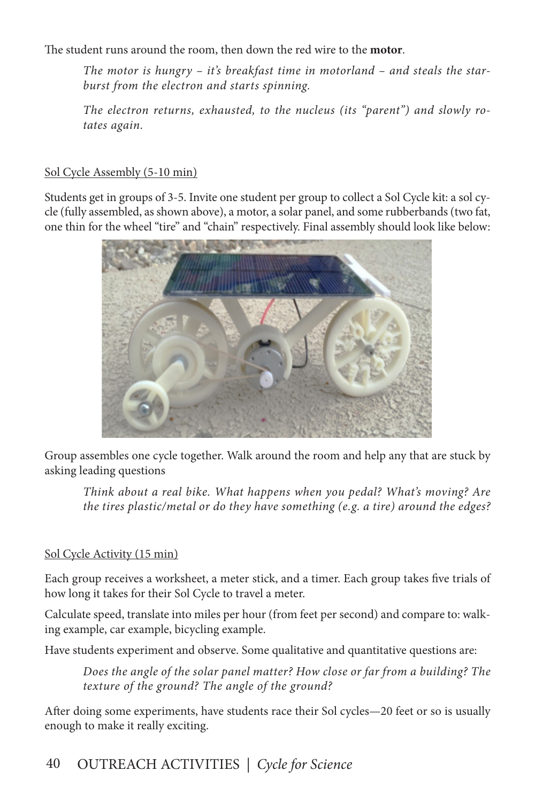The student runs around the room, then down the red wire to the **motor**.

*The motor is hungry – it's breakfast time in motorland – and steals the starburst from the electron and starts spinning.*

*The electron returns, exhausted, to the nucleus (its "parent") and slowly rotates again.*

#### Sol Cycle Assembly (5-10 min)

Students get in groups of 3-5. Invite one student per group to collect a Sol Cycle kit: a sol cycle (fully assembled, as shown above), a motor, a solar panel, and some rubberbands (two fat, one thin for the wheel "tire" and "chain" respectively. Final assembly should look like below:



Group assembles one cycle together. Walk around the room and help any that are stuck by asking leading questions

*Think about a real bike. What happens when you pedal? What's moving? Are the tires plastic/metal or do they have something (e.g. a tire) around the edges?*

#### Sol Cycle Activity (15 min)

Each group receives a worksheet, a meter stick, and a timer. Each group takes five trials of how long it takes for their Sol Cycle to travel a meter.

Calculate speed, translate into miles per hour (from feet per second) and compare to: walking example, car example, bicycling example.

Have students experiment and observe. Some qualitative and quantitative questions are:

*Does the angle of the solar panel matter? How close or far from a building? The texture of the ground? The angle of the ground?* 

After doing some experiments, have students race their Sol cycles—20 feet or so is usually enough to make it really exciting.

# 40 OUTREACH ACTIVITIES *| Cycle for Science*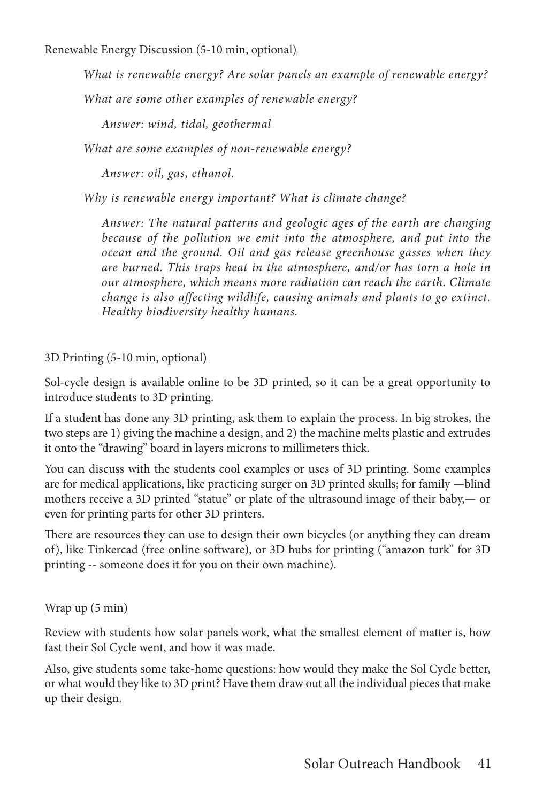*What is renewable energy? Are solar panels an example of renewable energy?* 

*What are some other examples of renewable energy?*

*Answer: wind, tidal, geothermal*

*What are some examples of non-renewable energy?* 

*Answer: oil, gas, ethanol.*

*Why is renewable energy important? What is climate change?*

*Answer: The natural patterns and geologic ages of the earth are changing because of the pollution we emit into the atmosphere, and put into the ocean and the ground. Oil and gas release greenhouse gasses when they are burned. This traps heat in the atmosphere, and/or has torn a hole in our atmosphere, which means more radiation can reach the earth. Climate change is also affecting wildlife, causing animals and plants to go extinct. Healthy biodiversity healthy humans.* 

#### 3D Printing (5-10 min, optional)

Sol-cycle design is available online to be 3D printed, so it can be a great opportunity to introduce students to 3D printing.

If a student has done any 3D printing, ask them to explain the process. In big strokes, the two steps are 1) giving the machine a design, and 2) the machine melts plastic and extrudes it onto the "drawing" board in layers microns to millimeters thick.

You can discuss with the students cool examples or uses of 3D printing. Some examples are for medical applications, like practicing surger on 3D printed skulls; for family —blind mothers receive a 3D printed "statue" or plate of the ultrasound image of their baby,— or even for printing parts for other 3D printers.

There are resources they can use to design their own bicycles (or anything they can dream of), like Tinkercad (free online software), or 3D hubs for printing ("amazon turk" for 3D printing -- someone does it for you on their own machine).

#### Wrap up (5 min)

Review with students how solar panels work, what the smallest element of matter is, how fast their Sol Cycle went, and how it was made.

Also, give students some take-home questions: how would they make the Sol Cycle better, or what would they like to 3D print? Have them draw out all the individual pieces that make up their design.